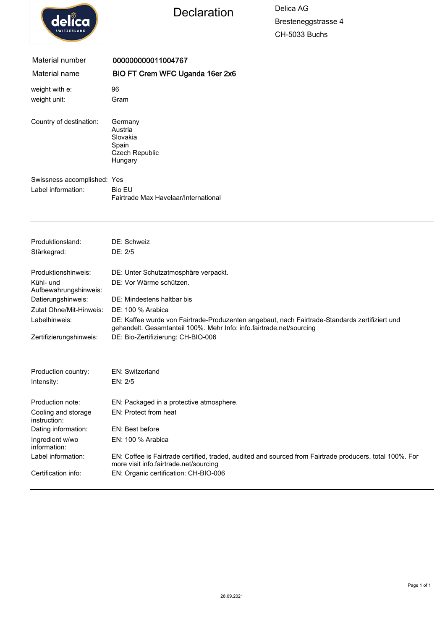

## Declaration Delica AG

Bresteneggstrasse 4 CH-5033 Buchs

| Material number                     | 000000000011004767                                                                                                                                                     |  |  |
|-------------------------------------|------------------------------------------------------------------------------------------------------------------------------------------------------------------------|--|--|
| Material name                       | BIO FT Crem WFC Uganda 16er 2x6                                                                                                                                        |  |  |
| weight with e:                      | 96                                                                                                                                                                     |  |  |
| weight unit:                        | Gram                                                                                                                                                                   |  |  |
| Country of destination:             | Germany<br>Austria<br>Slovakia<br>Spain<br><b>Czech Republic</b><br>Hungary                                                                                            |  |  |
| Swissness accomplished: Yes         |                                                                                                                                                                        |  |  |
| Label information:                  | <b>Bio EU</b><br>Fairtrade Max Havelaar/International                                                                                                                  |  |  |
| Produktionsland:                    | DE: Schweiz                                                                                                                                                            |  |  |
| Stärkegrad:                         | DE: 2/5                                                                                                                                                                |  |  |
| Produktionshinweis:                 | DE: Unter Schutzatmosphäre verpackt.                                                                                                                                   |  |  |
| Kühl- und<br>Aufbewahrungshinweis:  | DE: Vor Wärme schützen.                                                                                                                                                |  |  |
| Datierungshinweis:                  | DE: Mindestens haltbar bis                                                                                                                                             |  |  |
| Zutat Ohne/Mit-Hinweis:             | DE: 100 % Arabica                                                                                                                                                      |  |  |
| Labelhinweis:                       | DE: Kaffee wurde von Fairtrade-Produzenten angebaut, nach Fairtrade-Standards zertifiziert und<br>gehandelt. Gesamtanteil 100%. Mehr Info: info.fairtrade.net/sourcing |  |  |
| Zertifizierungshinweis:             | DE: Bio-Zertifizierung: CH-BIO-006                                                                                                                                     |  |  |
|                                     |                                                                                                                                                                        |  |  |
| Production country:                 | <b>EN: Switzerland</b>                                                                                                                                                 |  |  |
| Intensity:                          | EN: 2/5                                                                                                                                                                |  |  |
| Production note:                    | EN: Packaged in a protective atmosphere.                                                                                                                               |  |  |
| Cooling and storage<br>instruction: | EN: Protect from heat                                                                                                                                                  |  |  |

| Cooling and storage<br>instruction: | EN. FIULCUL IIUIII HEAL                                                                                                                            |
|-------------------------------------|----------------------------------------------------------------------------------------------------------------------------------------------------|
| Dating information:                 | EN: Best before                                                                                                                                    |
| Ingredient w/wo<br>information:     | EN: 100 % Arabica                                                                                                                                  |
| Label information:                  | EN: Coffee is Fairtrade certified, traded, audited and sourced from Fairtrade producers, total 100%. For<br>more visit info.fairtrade.net/sourcing |
| Certification info:                 | EN: Organic certification: CH-BIO-006                                                                                                              |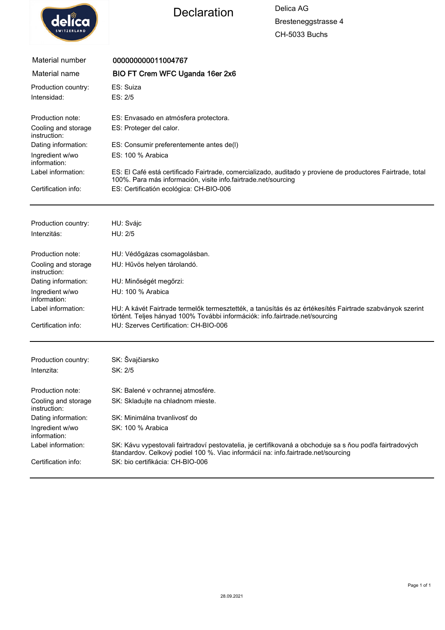

Declaration Delica AG

Bresteneggstrasse 4 CH-5033 Buchs

| Material number                     | 000000000011004767                                                                                                                                                                            |  |  |
|-------------------------------------|-----------------------------------------------------------------------------------------------------------------------------------------------------------------------------------------------|--|--|
| Material name                       | BIO FT Crem WFC Uganda 16er 2x6                                                                                                                                                               |  |  |
| Production country:                 | ES: Suiza                                                                                                                                                                                     |  |  |
| Intensidad:                         | ES: 2/5                                                                                                                                                                                       |  |  |
| Production note:                    | ES: Envasado en atmósfera protectora.                                                                                                                                                         |  |  |
| Cooling and storage<br>instruction: | ES: Proteger del calor.                                                                                                                                                                       |  |  |
| Dating information:                 | ES: Consumir preferentemente antes de(I)                                                                                                                                                      |  |  |
| Ingredient w/wo<br>information:     | ES: 100 % Arabica                                                                                                                                                                             |  |  |
| Label information:                  | ES: El Café está certificado Fairtrade, comercializado, auditado y proviene de productores Fairtrade, total<br>100%. Para más información, visite info.fairtrade.net/sourcing                 |  |  |
| Certification info:                 | ES: Certificatión ecológica: CH-BIO-006                                                                                                                                                       |  |  |
| Production country:                 | HU: Svájc                                                                                                                                                                                     |  |  |
| Intenzitás:                         | HU: 2/5                                                                                                                                                                                       |  |  |
|                                     |                                                                                                                                                                                               |  |  |
| Production note:                    | HU: Védőgázas csomagolásban.                                                                                                                                                                  |  |  |
| Cooling and storage<br>instruction: | HU: Hűvös helyen tárolandó.                                                                                                                                                                   |  |  |
| Dating information:                 | HU: Minőségét megőrzi:                                                                                                                                                                        |  |  |
| Ingredient w/wo<br>information:     | HU: 100 % Arabica                                                                                                                                                                             |  |  |
| Label information:                  | HU: A kávét Fairtrade termelők termesztették, a tanúsítás és az értékesítés Fairtrade szabványok szerint<br>történt. Teljes hányad 100% További információk: info.fairtrade.net/sourcing      |  |  |
| Certification info:                 | HU: Szerves Certification: CH-BIO-006                                                                                                                                                         |  |  |
| Production country:                 | SK: Švajčiarsko                                                                                                                                                                               |  |  |
| Intenzita:                          | SK: 2/5                                                                                                                                                                                       |  |  |
|                                     |                                                                                                                                                                                               |  |  |
| Production note:                    | SK: Balené v ochrannej atmosfére.                                                                                                                                                             |  |  |
| Cooling and storage<br>instruction: | SK: Skladujte na chladnom mieste.                                                                                                                                                             |  |  |
| Dating information:                 | SK: Minimálna trvanlivosť do                                                                                                                                                                  |  |  |
| Ingredient w/wo<br>information:     | SK: 100 % Arabica                                                                                                                                                                             |  |  |
| Label information:                  | SK: Kávu vypestovali fairtradoví pestovatelia, je certifikovaná a obchoduje sa s ňou podľa fairtradových<br>štandardov. Celkový podiel 100 %. Viac informácií na: info.fairtrade.net/sourcing |  |  |
| Certification info:                 | SK: bio certifikácia: CH-BIO-006                                                                                                                                                              |  |  |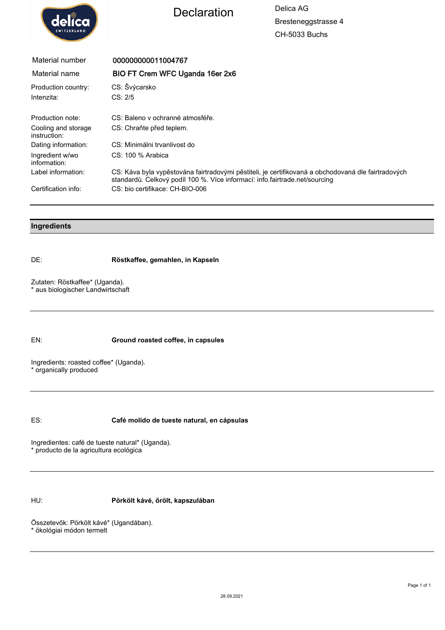



Bresteneggstrasse 4 CH-5033 Buchs

| Material number                     | 000000000011004767                                                                                                                                                                 |
|-------------------------------------|------------------------------------------------------------------------------------------------------------------------------------------------------------------------------------|
| Material name                       | BIO FT Crem WFC Uganda 16er 2x6                                                                                                                                                    |
| Production country:                 | CS: Švýcarsko                                                                                                                                                                      |
| Intenzita:                          | CS: 2/5                                                                                                                                                                            |
| Production note:                    | CS: Baleno v ochranné atmosféře.                                                                                                                                                   |
| Cooling and storage<br>instruction: | CS: Chrañte před teplem.                                                                                                                                                           |
| Dating information:                 | CS: Minimálni trvanlivost do                                                                                                                                                       |
| Ingredient w/wo<br>information:     | $CS: 100 \%$ Arabica                                                                                                                                                               |
| Label information:                  | CS: Káva byla vypěstována fairtradovými pěstiteli, je certifikovaná a obchodovaná dle fairtradových<br>standardů. Celkový podíl 100 %. Více informací: info.fairtrade.net/sourcing |
| Certification info:                 | CS: bio certifikace: CH-BIO-006                                                                                                                                                    |

## **Ingredients**

DE: **Röstkaffee, gemahlen, in Kapseln**

Zutaten: Röstkaffee\* (Uganda). \* aus biologischer Landwirtschaft

EN: **Ground roasted coffee, in capsules**

Ingredients: roasted coffee\* (Uganda). \* organically produced

ES: **Café molido de tueste natural, en cápsulas**

Ingredientes: café de tueste natural\* (Uganda). \* producto de la agricultura ecológica

HU: **Pörkölt kávé, őrölt, kapszulában**

Összetevők: Pörkölt kávé\* (Ugandában). \* ökológiai módon termelt